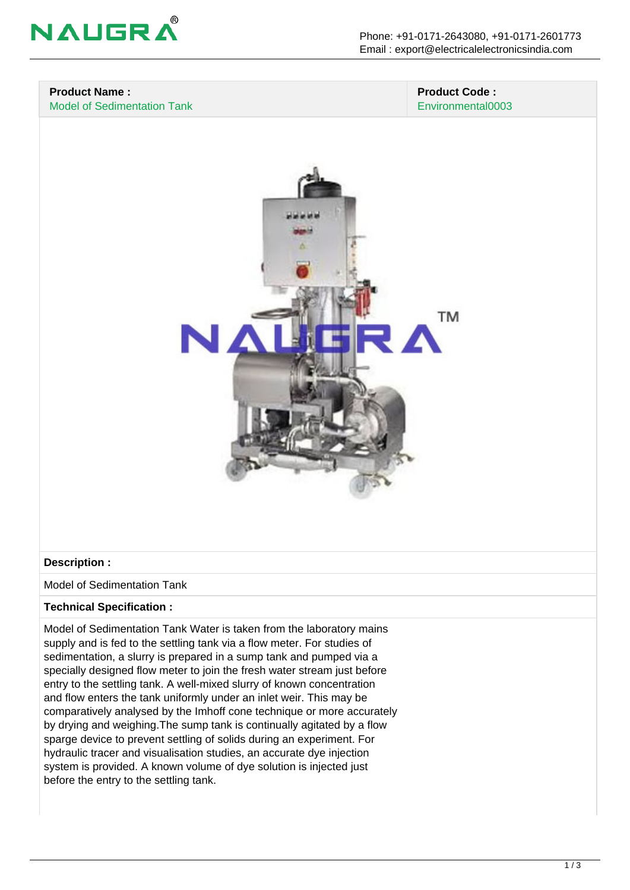

# **Product Name :**

Model of Sedimentation Tank

#### **Product Code :** Environmental0003



## **Description :**

Model of Sedimentation Tank

#### **Technical Specification :**

Model of Sedimentation Tank Water is taken from the laboratory mains supply and is fed to the settling tank via a flow meter. For studies of sedimentation, a slurry is prepared in a sump tank and pumped via a specially designed flow meter to join the fresh water stream just before entry to the settling tank. A well-mixed slurry of known concentration and flow enters the tank uniformly under an inlet weir. This may be comparatively analysed by the Imhoff cone technique or more accurately by drying and weighing.The sump tank is continually agitated by a flow sparge device to prevent settling of solids during an experiment. For hydraulic tracer and visualisation studies, an accurate dye injection system is provided. A known volume of dye solution is injected just before the entry to the settling tank.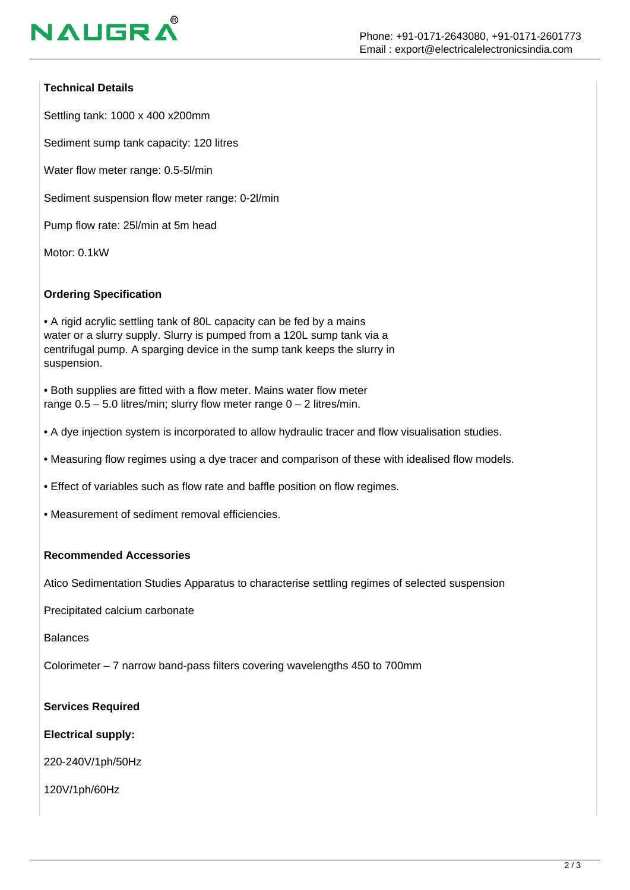

## **Technical Details**

Settling tank: 1000 x 400 x200mm

Sediment sump tank capacity: 120 litres

Water flow meter range: 0.5-5l/min

Sediment suspension flow meter range: 0-2l/min

Pump flow rate: 25l/min at 5m head

Motor: 0.1kW

## **Ordering Specification**

• A rigid acrylic settling tank of 80L capacity can be fed by a mains water or a slurry supply. Slurry is pumped from a 120L sump tank via a centrifugal pump. A sparging device in the sump tank keeps the slurry in suspension.

• Both supplies are fitted with a flow meter. Mains water flow meter range  $0.5 - 5.0$  litres/min; slurry flow meter range  $0 - 2$  litres/min.

• A dye injection system is incorporated to allow hydraulic tracer and flow visualisation studies.

• Measuring flow regimes using a dye tracer and comparison of these with idealised flow models.

• Effect of variables such as flow rate and baffle position on flow regimes.

• Measurement of sediment removal efficiencies.

#### **Recommended Accessories**

Atico Sedimentation Studies Apparatus to characterise settling regimes of selected suspension

Precipitated calcium carbonate

**Balances** 

Colorimeter – 7 narrow band-pass filters covering wavelengths 450 to 700mm

**Services Required**

**Electrical supply:**

220-240V/1ph/50Hz

120V/1ph/60Hz